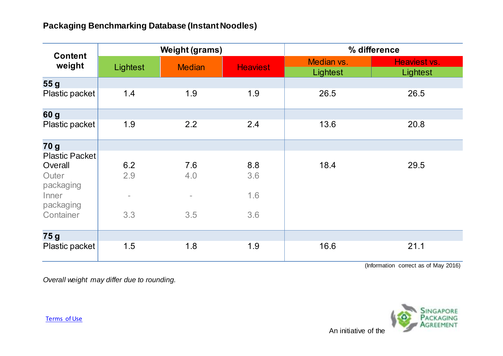| <b>Content</b><br>weight | <b>Weight (grams)</b>    |               |                 | % difference           |                          |
|--------------------------|--------------------------|---------------|-----------------|------------------------|--------------------------|
|                          | Lightest                 | <b>Median</b> | <b>Heaviest</b> | Median vs.<br>Lightest | Heaviest vs.<br>Lightest |
| 55 <sub>g</sub>          |                          |               |                 |                        |                          |
| Plastic packet           | 1.4                      | 1.9           | 1.9             | 26.5                   | 26.5                     |
| 60 g                     |                          |               |                 |                        |                          |
| Plastic packet           | 1.9                      | 2.2           | 2.4             | 13.6                   | 20.8                     |
| 70 g                     |                          |               |                 |                        |                          |
| <b>Plastic Packet</b>    |                          |               |                 |                        |                          |
| Overall                  | 6.2                      | 7.6           | 8.8             | 18.4                   | 29.5                     |
| Outer<br>packaging       | 2.9                      | 4.0           | 3.6             |                        |                          |
| Inner<br>packaging       | $\overline{\phantom{a}}$ | $\sim$        | 1.6             |                        |                          |
| Container                | 3.3                      | 3.5           | 3.6             |                        |                          |
| 75 g                     |                          |               |                 |                        |                          |
| Plastic packet           | 1.5                      | 1.8           | 1.9             | 16.6                   | 21.1                     |

(Information correct as of May 2016)

*Overall weight may differ due to rounding.*



[Terms of Use](http://www.nea.gov.sg/terms-of-use/)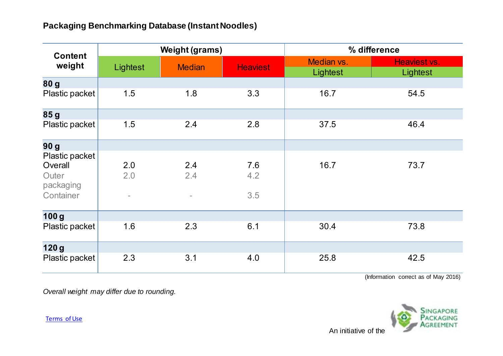| <b>Content</b><br>weight | <b>Weight (grams)</b>    |                          |                 | % difference           |                          |
|--------------------------|--------------------------|--------------------------|-----------------|------------------------|--------------------------|
|                          | Lightest                 | <b>Median</b>            | <b>Heaviest</b> | Median vs.<br>Lightest | Heaviest vs.<br>Lightest |
| 80 g                     |                          |                          |                 |                        |                          |
| Plastic packet           | 1.5                      | 1.8                      | 3.3             | 16.7                   | 54.5                     |
| 85 <sub>g</sub>          |                          |                          |                 |                        |                          |
| Plastic packet           | 1.5                      | 2.4                      | 2.8             | 37.5                   | 46.4                     |
| 90 <sub>g</sub>          |                          |                          |                 |                        |                          |
| Plastic packet           |                          |                          |                 |                        |                          |
| Overall                  | 2.0                      | 2.4                      | 7.6             | 16.7                   | 73.7                     |
| Outer<br>packaging       | 2.0                      | 2.4                      | 4.2             |                        |                          |
| Container                | $\overline{\phantom{a}}$ | $\overline{\phantom{a}}$ | 3.5             |                        |                          |
| 100 <sub>g</sub>         |                          |                          |                 |                        |                          |
| Plastic packet           | 1.6                      | 2.3                      | 6.1             | 30.4                   | 73.8                     |
| 120g                     |                          |                          |                 |                        |                          |
| Plastic packet           | 2.3                      | 3.1                      | 4.0             | 25.8                   | 42.5                     |

(Information correct as of May 2016)

*Overall weight may differ due to rounding.*



[Terms of Use](http://www.nea.gov.sg/terms-of-use/)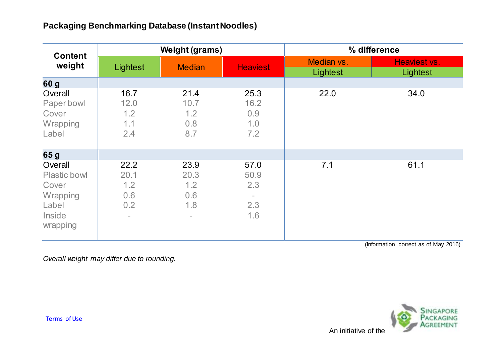| <b>Content</b><br>weight                                                           | <b>Weight (grams)</b>             |                                                               |                                   | % difference           |                          |
|------------------------------------------------------------------------------------|-----------------------------------|---------------------------------------------------------------|-----------------------------------|------------------------|--------------------------|
|                                                                                    | Lightest                          | <b>Median</b>                                                 | <b>Heaviest</b>                   | Median vs.<br>Lightest | Heaviest vs.<br>Lightest |
| 60 g                                                                               |                                   |                                                               |                                   |                        |                          |
| Overall<br>Paper bowl<br>Cover<br>Wrapping<br>Label                                | 16.7<br>12.0<br>1.2<br>1.1<br>2.4 | 21.4<br>10.7<br>1.2<br>0.8<br>8.7                             | 25.3<br>16.2<br>0.9<br>1.0<br>7.2 | 22.0                   | 34.0                     |
| 65 g                                                                               |                                   |                                                               |                                   |                        |                          |
| Overall<br><b>Plastic bowl</b><br>Cover<br>Wrapping<br>Label<br>Inside<br>wrapping | 22.2<br>20.1<br>1.2<br>0.6<br>0.2 | 23.9<br>20.3<br>1.2<br>0.6<br>1.8<br>$\overline{\phantom{a}}$ | 57.0<br>50.9<br>2.3<br>2.3<br>1.6 | 7.1                    | 61.1                     |

(Information correct as of May 2016)

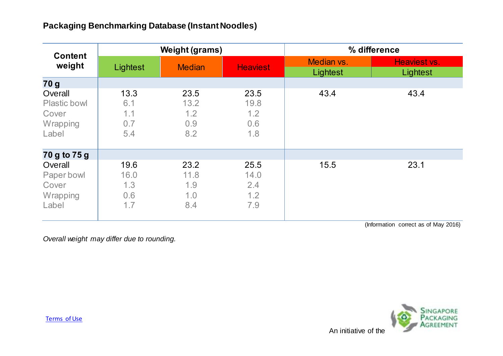| <b>Content</b><br>weight                                     | <b>Weight (grams)</b>             |                                   |                                   | % difference           |                          |
|--------------------------------------------------------------|-----------------------------------|-----------------------------------|-----------------------------------|------------------------|--------------------------|
|                                                              | Lightest                          | <b>Median</b>                     | <b>Heaviest</b>                   | Median vs.<br>Lightest | Heaviest vs.<br>Lightest |
| 70 g                                                         |                                   |                                   |                                   |                        |                          |
| Overall<br><b>Plastic bowl</b><br>Cover<br>Wrapping<br>Label | 13.3<br>6.1<br>1.1<br>0.7<br>5.4  | 23.5<br>13.2<br>1.2<br>0.9<br>8.2 | 23.5<br>19.8<br>1.2<br>0.6<br>1.8 | 43.4                   | 43.4                     |
| 70 g to 75 g                                                 |                                   |                                   |                                   |                        |                          |
| Overall<br>Paper bowl<br>Cover<br>Wrapping<br>Label          | 19.6<br>16.0<br>1.3<br>0.6<br>1.7 | 23.2<br>11.8<br>1.9<br>1.0<br>8.4 | 25.5<br>14.0<br>2.4<br>1.2<br>7.9 | 15.5                   | 23.1                     |

(Information correct as of May 2016)

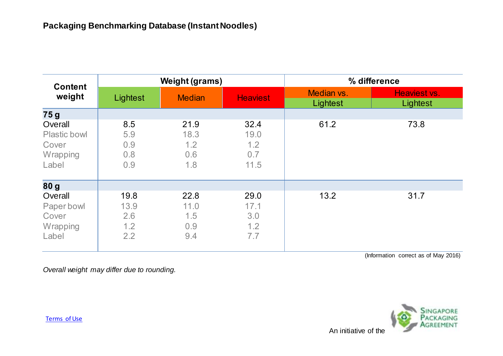| <b>Content</b>                                               | <b>Weight (grams)</b>             |                                   |                                    | % difference           |                          |
|--------------------------------------------------------------|-----------------------------------|-----------------------------------|------------------------------------|------------------------|--------------------------|
| weight                                                       | Lightest                          | <b>Median</b>                     | <b>Heaviest</b>                    | Median vs.<br>Lightest | Heaviest vs.<br>Lightest |
| 75g                                                          |                                   |                                   |                                    |                        |                          |
| Overall<br><b>Plastic bowl</b><br>Cover<br>Wrapping<br>Label | 8.5<br>5.9<br>0.9<br>0.8<br>0.9   | 21.9<br>18.3<br>1.2<br>0.6<br>1.8 | 32.4<br>19.0<br>1.2<br>0.7<br>11.5 | 61.2                   | 73.8                     |
| 80g                                                          |                                   |                                   |                                    |                        |                          |
| Overall<br>Paper bowl<br>Cover<br>Wrapping<br>Label          | 19.8<br>13.9<br>2.6<br>1.2<br>2.2 | 22.8<br>11.0<br>1.5<br>0.9<br>9.4 | 29.0<br>17.1<br>3.0<br>1.2<br>7.7  | 13.2                   | 31.7                     |

(Information correct as of May 2016)

*Overall weight may differ due to rounding.*



[Terms of Use](http://www.nea.gov.sg/terms-of-use/)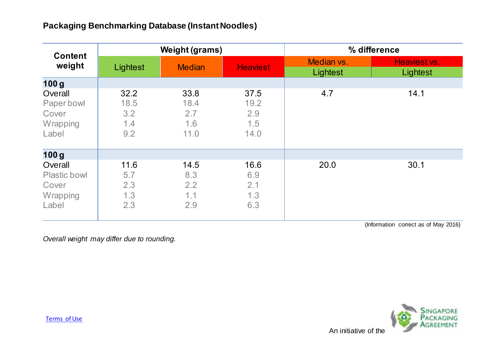| <b>Content</b>                                               | <b>Weight (grams)</b>             |                                    |                                    | % difference           |                          |
|--------------------------------------------------------------|-----------------------------------|------------------------------------|------------------------------------|------------------------|--------------------------|
| weight                                                       | Lightest                          | <b>Median</b>                      | <b>Heaviest</b>                    | Median vs.<br>Lightest | Heaviest vs.<br>Lightest |
| 100 <sub>g</sub>                                             |                                   |                                    |                                    |                        |                          |
| Overall<br>Paper bowl<br>Cover<br>Wrapping<br>Label          | 32.2<br>18.5<br>3.2<br>1.4<br>9.2 | 33.8<br>18.4<br>2.7<br>1.6<br>11.0 | 37.5<br>19.2<br>2.9<br>1.5<br>14.0 | 4.7                    | 14.1                     |
| 100 <sub>g</sub>                                             |                                   |                                    |                                    |                        |                          |
| Overall<br><b>Plastic bowl</b><br>Cover<br>Wrapping<br>Label | 11.6<br>5.7<br>2.3<br>1.3<br>2.3  | 14.5<br>8.3<br>2.2<br>1.1<br>2.9   | 16.6<br>6.9<br>2.1<br>1.3<br>6.3   | 20.0                   | 30.1                     |

(Information correct as of May 2016)